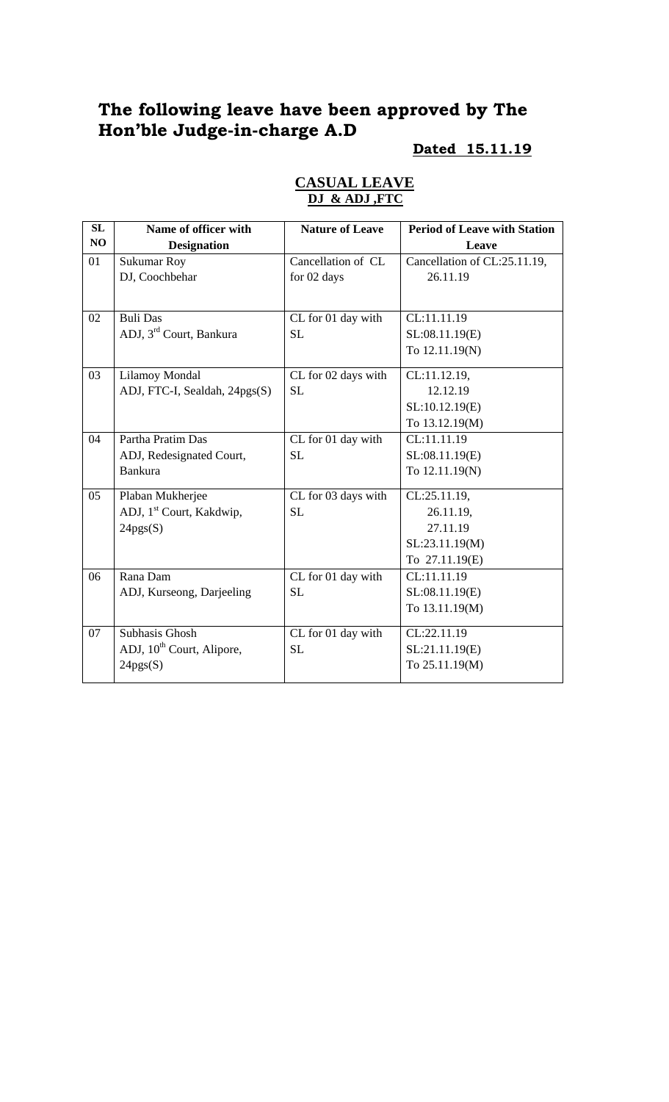# **The following leave have been approved by The Hon'ble Judge-in-charge A.D**

## **Dated 15.11.19**

| <b>SL</b> | Name of officer with                  | <b>Nature of Leave</b> | <b>Period of Leave with Station</b> |
|-----------|---------------------------------------|------------------------|-------------------------------------|
| NO        | <b>Designation</b>                    |                        | Leave                               |
| 01        | <b>Sukumar Roy</b>                    | Cancellation of CL     | Cancellation of CL:25.11.19,        |
|           | DJ, Coochbehar                        | for 02 days            | 26.11.19                            |
|           |                                       |                        |                                     |
| 02        | <b>Buli Das</b>                       | CL for 01 day with     | CL:11.11.19                         |
|           | ADJ, 3 <sup>rd</sup> Court, Bankura   | <b>SL</b>              | SL:08.11.19(E)                      |
|           |                                       |                        | To 12.11.19(N)                      |
| 03        | Lilamoy Mondal                        | CL for 02 days with    | CL:11.12.19,                        |
|           | ADJ, FTC-I, Sealdah, 24pgs(S)         | <b>SL</b>              | 12.12.19                            |
|           |                                       |                        | SL:10.12.19(E)                      |
|           |                                       |                        | To 13.12.19(M)                      |
| 04        | Partha Pratim Das                     | CL for 01 day with     | CL:11.11.19                         |
|           | ADJ, Redesignated Court,              | <b>SL</b>              | SL:08.11.19(E)                      |
|           | <b>Bankura</b>                        |                        | To 12.11.19(N)                      |
| 05        | Plaban Mukherjee                      | CL for 03 days with    | CL:25.11.19,                        |
|           | ADJ, 1 <sup>st</sup> Court, Kakdwip,  | <b>SL</b>              | 26.11.19,                           |
|           | 24pgs(S)                              |                        | 27.11.19                            |
|           |                                       |                        | SL:23.11.19(M)                      |
|           |                                       |                        | To 27.11.19(E)                      |
| 06        | Rana Dam                              | CL for 01 day with     | CL:11.11.19                         |
|           | ADJ, Kurseong, Darjeeling             | <b>SL</b>              | SL:08.11.19(E)                      |
|           |                                       |                        | To 13.11.19(M)                      |
| 07        | Subhasis Ghosh                        | CL for 01 day with     | CL:22.11.19                         |
|           | ADJ, 10 <sup>th</sup> Court, Alipore, | <b>SL</b>              | SL:21.11.19(E)                      |
|           | 24pgs(S)                              |                        | To 25.11.19(M)                      |

#### **CASUAL LEAVE DJ & ADJ ,FTC**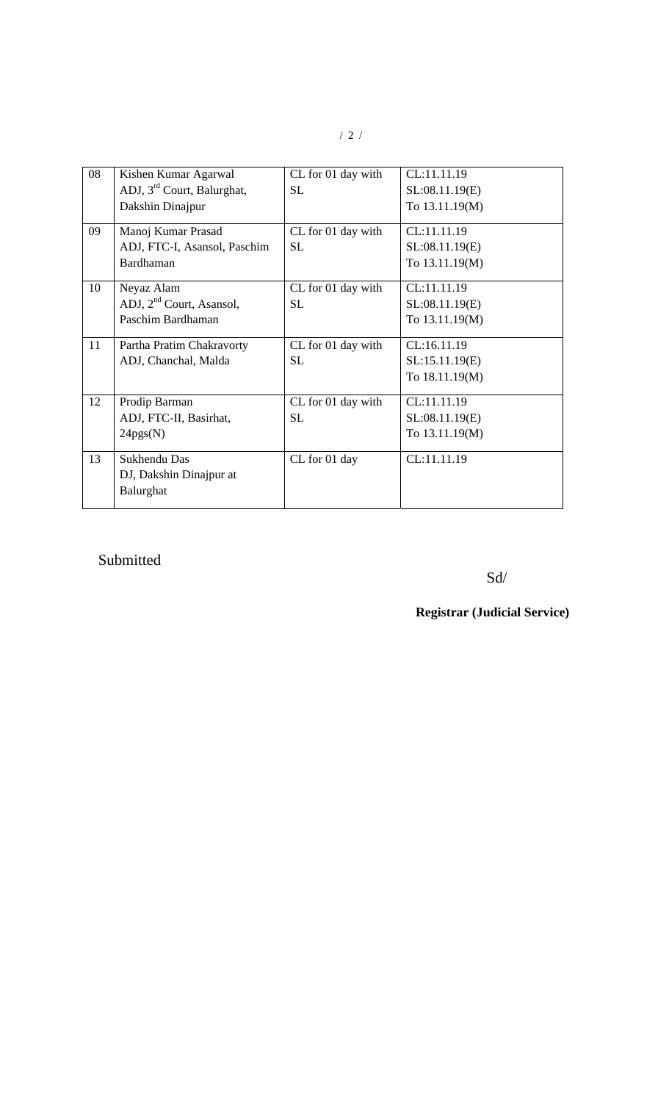| 08 | Kishen Kumar Agarwal                   | CL for 01 day with | CL:11.11.19    |
|----|----------------------------------------|--------------------|----------------|
|    | ADJ, 3 <sup>rd</sup> Court, Balurghat, | SL                 | SL:08.11.19(E) |
|    | Dakshin Dinajpur                       |                    | To 13.11.19(M) |
| 09 | Manoj Kumar Prasad                     | CL for 01 day with | CL:11.11.19    |
|    | ADJ, FTC-I, Asansol, Paschim           | <b>SL</b>          | SL:08.11.19(E) |
|    | Bardhaman                              |                    | To 13.11.19(M) |
| 10 | Neyaz Alam                             | CL for 01 day with | CL:11.11.19    |
|    | ADJ, 2 <sup>nd</sup> Court, Asansol,   | SL                 | SL:08.11.19(E) |
|    | Paschim Bardhaman                      |                    | To 13.11.19(M) |
| 11 | Partha Pratim Chakravorty              | CL for 01 day with | CL:16.11.19    |
|    | ADJ, Chanchal, Malda                   | <b>SL</b>          | SL:15.11.19(E) |
|    |                                        |                    | To 18.11.19(M) |
| 12 | Prodip Barman                          | CL for 01 day with | CL:11.11.19    |
|    | ADJ, FTC-II, Basirhat,                 | SL                 | SL:08.11.19(E) |
|    | 24pgs(N)                               |                    | To 13.11.19(M) |
| 13 | Sukhendu Das                           | CL for 01 day      | CL:11.11.19    |
|    | DJ, Dakshin Dinajpur at                |                    |                |
|    | Balurghat                              |                    |                |
|    |                                        |                    |                |

### Submitted

Sd/

## **Registrar (Judicial Service)**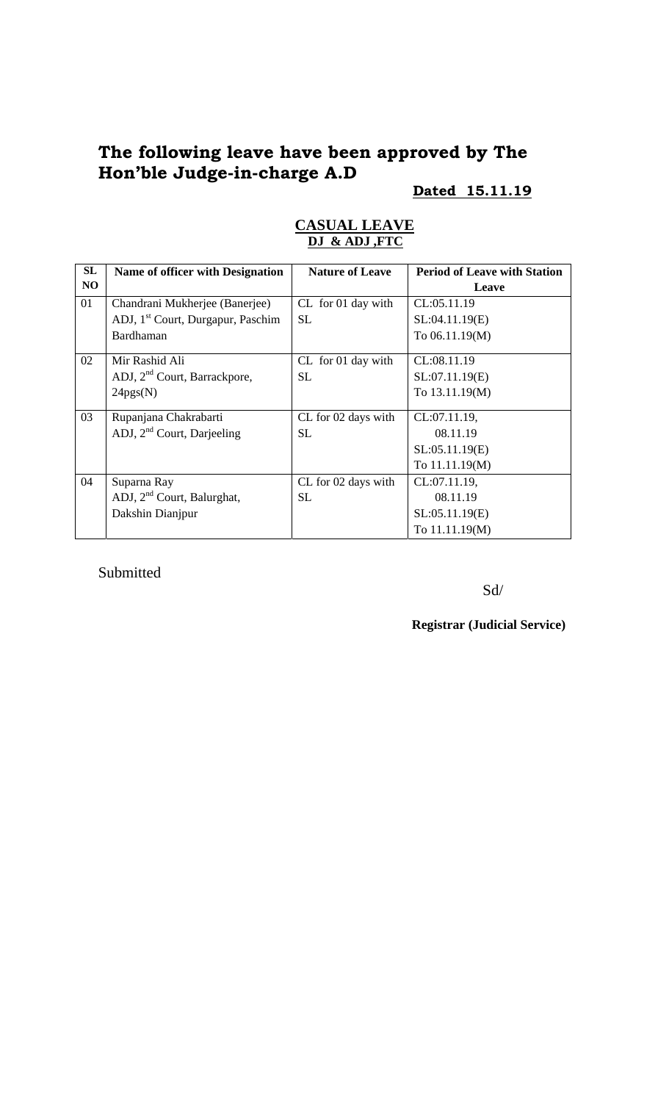# **The following leave have been approved by The Hon'ble Judge-in-charge A.D**

#### **Dated 15.11.19**

| SL | <b>Name of officer with Designation</b>       | <b>Nature of Leave</b> | <b>Period of Leave with Station</b> |
|----|-----------------------------------------------|------------------------|-------------------------------------|
| NO |                                               |                        | Leave                               |
| 01 | Chandrani Mukherjee (Banerjee)                | CL for 01 day with     | CL:05.11.19                         |
|    | ADJ, 1 <sup>st</sup> Court, Durgapur, Paschim | <b>SL</b>              | SL:04.11.19(E)                      |
|    | Bardhaman                                     |                        | To 06.11.19(M)                      |
| 02 | Mir Rashid Ali                                | CL for 01 day with     | CL:08.11.19                         |
|    | ADJ, 2 <sup>nd</sup> Court, Barrackpore,      | <b>SL</b>              | SL:07.11.19(E)                      |
|    | 24pgs(N)                                      |                        | To 13.11.19(M)                      |
| 03 | Rupanjana Chakrabarti                         | CL for 02 days with    | CL:07.11.19,                        |
|    | ADJ, $2nd$ Court, Darjeeling                  | <b>SL</b>              | 08.11.19                            |
|    |                                               |                        | SL:05.11.19(E)                      |
|    |                                               |                        | To 11.11.19(M)                      |
| 04 | Suparna Ray                                   | CL for 02 days with    | CL:07.11.19,                        |
|    | ADJ, $2nd$ Court, Balurghat,                  | <b>SL</b>              | 08.11.19                            |
|    | Dakshin Dianjpur                              |                        | SL:05.11.19(E)                      |
|    |                                               |                        | To 11.11.19(M)                      |

#### **CASUAL LEAVE DJ & ADJ ,FTC**

Submitted

Sd/

**Registrar (Judicial Service)**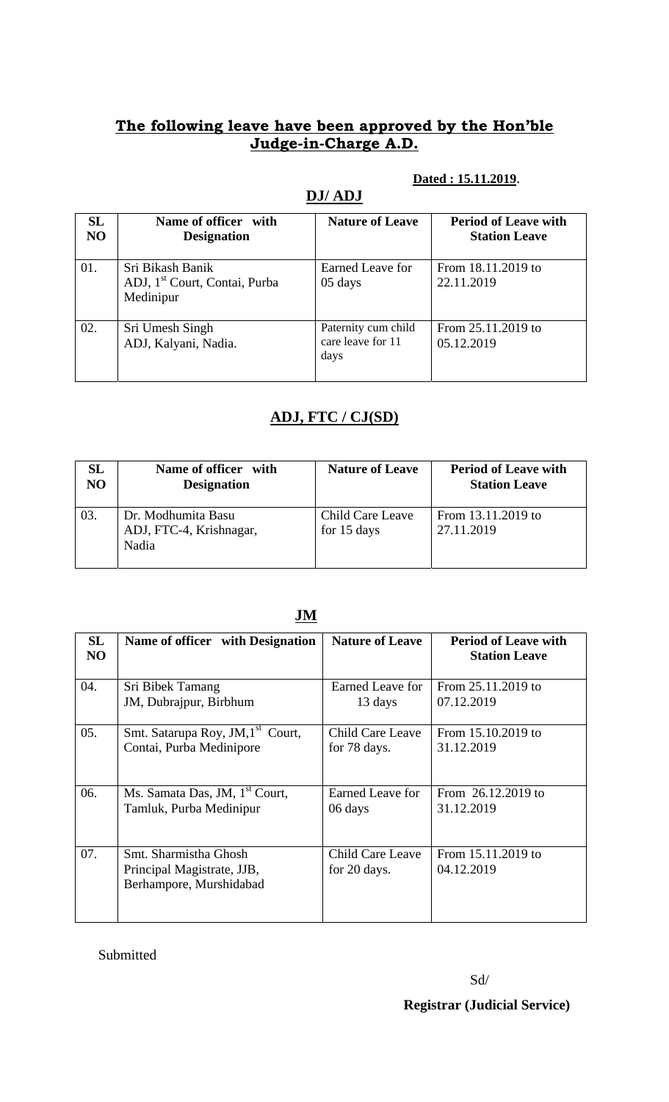### **The following leave have been approved by the Hon'ble Judge-in-Charge A.D.**

#### **Dated : 15.11.2019**.

| SL<br>N <sub>O</sub> | Name of officer with<br><b>Designation</b>                                 | <b>Nature of Leave</b>                           | <b>Period of Leave with</b><br><b>Station Leave</b> |
|----------------------|----------------------------------------------------------------------------|--------------------------------------------------|-----------------------------------------------------|
| 01.                  | Sri Bikash Banik<br>ADJ, 1 <sup>st</sup> Court, Contai, Purba<br>Medinipur | Earned Leave for<br>05 days                      | From 18.11.2019 to<br>22.11.2019                    |
| 02.                  | Sri Umesh Singh<br>ADJ, Kalyani, Nadia.                                    | Paternity cum child<br>care leave for 11<br>days | From 25.11.2019 to<br>05.12.2019                    |

### **DJ/ ADJ**

# **ADJ, FTC / CJ(SD)**

| $\mathbf{SL}$  | Name of officer with                                   | <b>Nature of Leave</b>          | <b>Period of Leave with</b>      |
|----------------|--------------------------------------------------------|---------------------------------|----------------------------------|
| N <sub>O</sub> | <b>Designation</b>                                     |                                 | <b>Station Leave</b>             |
| 03.            | Dr. Modhumita Basu<br>ADJ, FTC-4, Krishnagar,<br>Nadia | Child Care Leave<br>for 15 days | From 13.11.2019 to<br>27.11.2019 |

| SL<br>NO | Name of officer with Designation                                               | <b>Nature of Leave</b>           | <b>Period of Leave with</b><br><b>Station Leave</b> |
|----------|--------------------------------------------------------------------------------|----------------------------------|-----------------------------------------------------|
| 04.      | Sri Bibek Tamang                                                               | Earned Leave for                 | From 25.11.2019 to                                  |
|          | JM, Dubrajpur, Birbhum                                                         | 13 days                          | 07.12.2019                                          |
| 05.      | Smt. Satarupa Roy, JM, 1 <sup>st</sup> Court,                                  | Child Care Leave                 | From 15.10.2019 to                                  |
|          | Contai, Purba Medinipore                                                       | for 78 days.                     | 31.12.2019                                          |
| 06.      | Ms. Samata Das, JM, 1 <sup>st</sup> Court,                                     | <b>Earned Leave for</b>          | From 26.12.2019 to                                  |
|          | Tamluk, Purba Medinipur                                                        | 06 days                          | 31.12.2019                                          |
| 07.      | Smt. Sharmistha Ghosh<br>Principal Magistrate, JJB,<br>Berhampore, Murshidabad | Child Care Leave<br>for 20 days. | From 15.11.2019 to<br>04.12.2019                    |

#### **JM**

Submitted